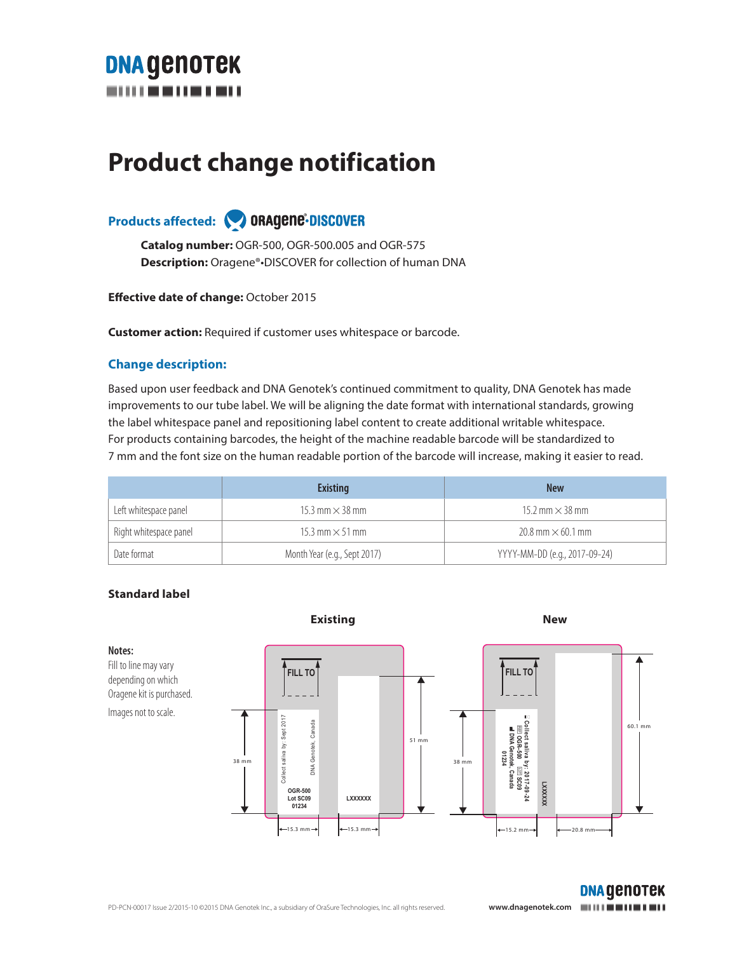

# **Product change notification**

### Products affected: **ORAgene-DISCOVER**

**Catalog number:** OGR-500, OGR-500.005 and OGR-575 **Description:** Oragene®•DISCOVER for collection of human DNA

**Effective date of change:** October 2015

**Customer action:** Required if customer uses whitespace or barcode.

#### **Change description:**

Based upon user feedback and DNA Genotek's continued commitment to quality, DNA Genotek has made improvements to our tube label. We will be aligning the date format with international standards, growing the label whitespace panel and repositioning label content to create additional writable whitespace. For products containing barcodes, the height of the machine readable barcode will be standardized to 7 mm and the font size on the human readable portion of the barcode will increase, making it easier to read.

|                        | <b>Existing</b>              | <b>New</b>                    |
|------------------------|------------------------------|-------------------------------|
| Left whitespace panel  | 15.3 mm $\times$ 38 mm       | 15.2 mm $\times$ 38 mm        |
| Right whitespace panel | 15.3 mm $\times$ 51 mm       | $20.8$ mm $\times$ 60.1 mm    |
| Date format            | Month Year (e.g., Sept 2017) | YYYY-MM-DD (e.g., 2017-09-24) |

#### **Standard label**

Fill to line may vary depending on which

Images not to scale.

**Notes:**



**DNA GENOTEK**